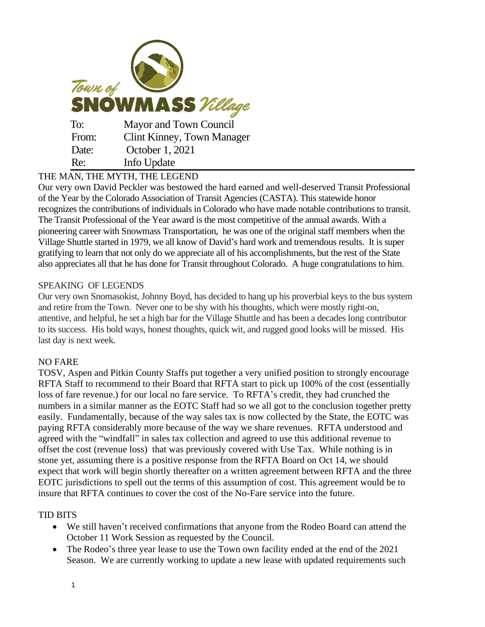| Town of<br><b>SNOWMASS</b> Village |                                   |
|------------------------------------|-----------------------------------|
| To:                                | Mayor and Town Council            |
| From:                              | <b>Clint Kinney, Town Manager</b> |
| Date:                              | October 1, 2021                   |
| Re:                                | Info Update                       |

## THE MAN, THE MYTH, THE LEGEND

Our very own David Peckler was bestowed the hard earned and well-deserved Transit Professional of the Year by the Colorado Association of Transit Agencies (CASTA). This statewide honor recognizes the contributions of individuals in Colorado who have made notable contributions to transit. The Transit Professional of the Year award is the most competitive of the annual awards. With a pioneering career with Snowmass Transportation, he was one of the original staff members when the Village Shuttle started in 1979, we all know of David's hard work and tremendous results. It is super gratifying to learn that not only do we appreciate all of his accomplishments, but the rest of the State also appreciates all that he has done for Transit throughout Colorado. A huge congratulations to him.

## SPEAKING OF LEGENDS

Our very own Snomasokist, Johnny Boyd, has decided to hang up his proverbial keys to the bus system and retire from the Town. Never one to be shy with his thoughts, which were mostly right-on, attentive, and helpful, he set a high bar for the Village Shuttle and has been a decades long contributor to its success. His bold ways, honest thoughts, quick wit, and rugged good looks will be missed. His last day is next week.

## NO FARE

TOSV, Aspen and Pitkin County Staffs put together a very unified position to strongly encourage RFTA Staff to recommend to their Board that RFTA start to pick up 100% of the cost (essentially loss of fare revenue.) for our local no fare service. To RFTA's credit, they had crunched the numbers in a similar manner as the EOTC Staff had so we all got to the conclusion together pretty easily. Fundamentally, because of the way sales tax is now collected by the State, the EOTC was paying RFTA considerably more because of the way we share revenues. RFTA understood and agreed with the "windfall" in sales tax collection and agreed to use this additional revenue to offset the cost (revenue loss) that was previously covered with Use Tax. While nothing is in stone yet, assuming there is a positive response from the RFTA Board on Oct 14, we should expect that work will begin shortly thereafter on a written agreement between RFTA and the three EOTC jurisdictions to spell out the terms of this assumption of cost. This agreement would be to insure that RFTA continues to cover the cost of the No-Fare service into the future.

## TID BITS

- We still haven't received confirmations that anyone from the Rodeo Board can attend the October 11 Work Session as requested by the Council.
- The Rodeo's three year lease to use the Town own facility ended at the end of the 2021 Season. We are currently working to update a new lease with updated requirements such